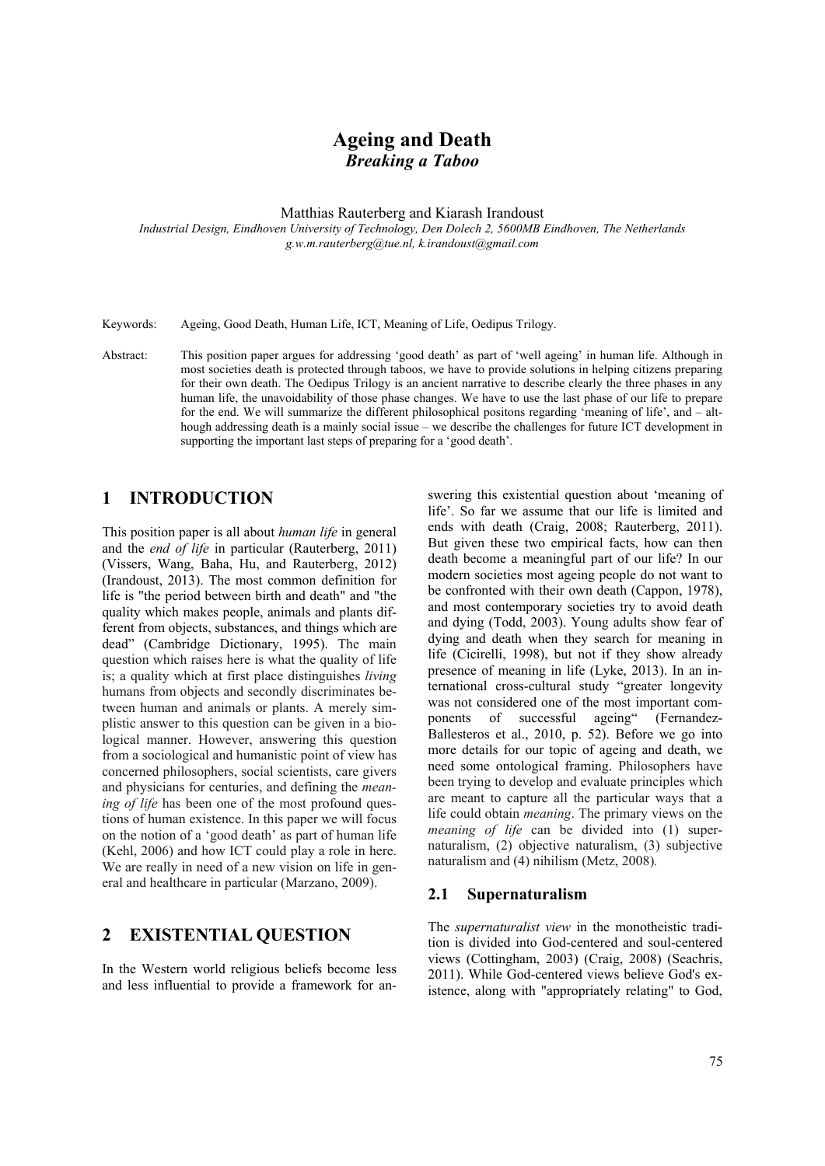# **Ageing and Death**  *Breaking a Taboo*

Matthias Rauterberg and Kiarash Irandoust

*Industrial Design, Eindhoven University of Technology, Den Dolech 2, 5600MB Eindhoven, The Netherlands g.w.m.rauterberg@tue.nl, k.irandoust@gmail.com* 

Keywords: Ageing, Good Death, Human Life, ICT, Meaning of Life, Oedipus Trilogy.

Abstract: This position paper argues for addressing 'good death' as part of 'well ageing' in human life. Although in most societies death is protected through taboos, we have to provide solutions in helping citizens preparing for their own death. The Oedipus Trilogy is an ancient narrative to describe clearly the three phases in any human life, the unavoidability of those phase changes. We have to use the last phase of our life to prepare for the end. We will summarize the different philosophical positons regarding 'meaning of life', and – although addressing death is a mainly social issue – we describe the challenges for future ICT development in supporting the important last steps of preparing for a 'good death'.

# **1 INTRODUCTION**

This position paper is all about *human life* in general and the *end of life* in particular (Rauterberg, 2011) (Vissers, Wang, Baha, Hu, and Rauterberg, 2012) (Irandoust, 2013). The most common definition for life is "the period between birth and death" and "the quality which makes people, animals and plants different from objects, substances, and things which are dead" (Cambridge Dictionary, 1995). The main question which raises here is what the quality of life is; a quality which at first place distinguishes *living*  humans from objects and secondly discriminates between human and animals or plants. A merely simplistic answer to this question can be given in a biological manner. However, answering this question from a sociological and humanistic point of view has concerned philosophers, social scientists, care givers and physicians for centuries, and defining the *meaning of life* has been one of the most profound questions of human existence. In this paper we will focus on the notion of a 'good death' as part of human life (Kehl, 2006) and how ICT could play a role in here. We are really in need of a new vision on life in general and healthcare in particular (Marzano, 2009).

# **2 EXISTENTIAL QUESTION**

In the Western world religious beliefs become less and less influential to provide a framework for an-

swering this existential question about 'meaning of life'. So far we assume that our life is limited and ends with death (Craig, 2008; Rauterberg, 2011). But given these two empirical facts, how can then death become a meaningful part of our life? In our modern societies most ageing people do not want to be confronted with their own death (Cappon, 1978), and most contemporary societies try to avoid death and dying (Todd, 2003). Young adults show fear of dying and death when they search for meaning in life (Cicirelli, 1998), but not if they show already presence of meaning in life (Lyke, 2013). In an international cross-cultural study "greater longevity was not considered one of the most important components of successful ageing" (Fernandez-Ballesteros et al., 2010, p. 52). Before we go into more details for our topic of ageing and death, we need some ontological framing. Philosophers have been trying to develop and evaluate principles which are meant to capture all the particular ways that a life could obtain *meaning*. The primary views on the *meaning of life* can be divided into (1) supernaturalism, (2) objective naturalism, (3) subjective naturalism and (4) nihilism (Metz, 2008)*.*

#### **2.1 Supernaturalism**

The *supernaturalist view* in the monotheistic tradition is divided into God-centered and soul-centered views (Cottingham, 2003) (Craig, 2008) (Seachris, 2011). While God-centered views believe God's existence, along with "appropriately relating" to God,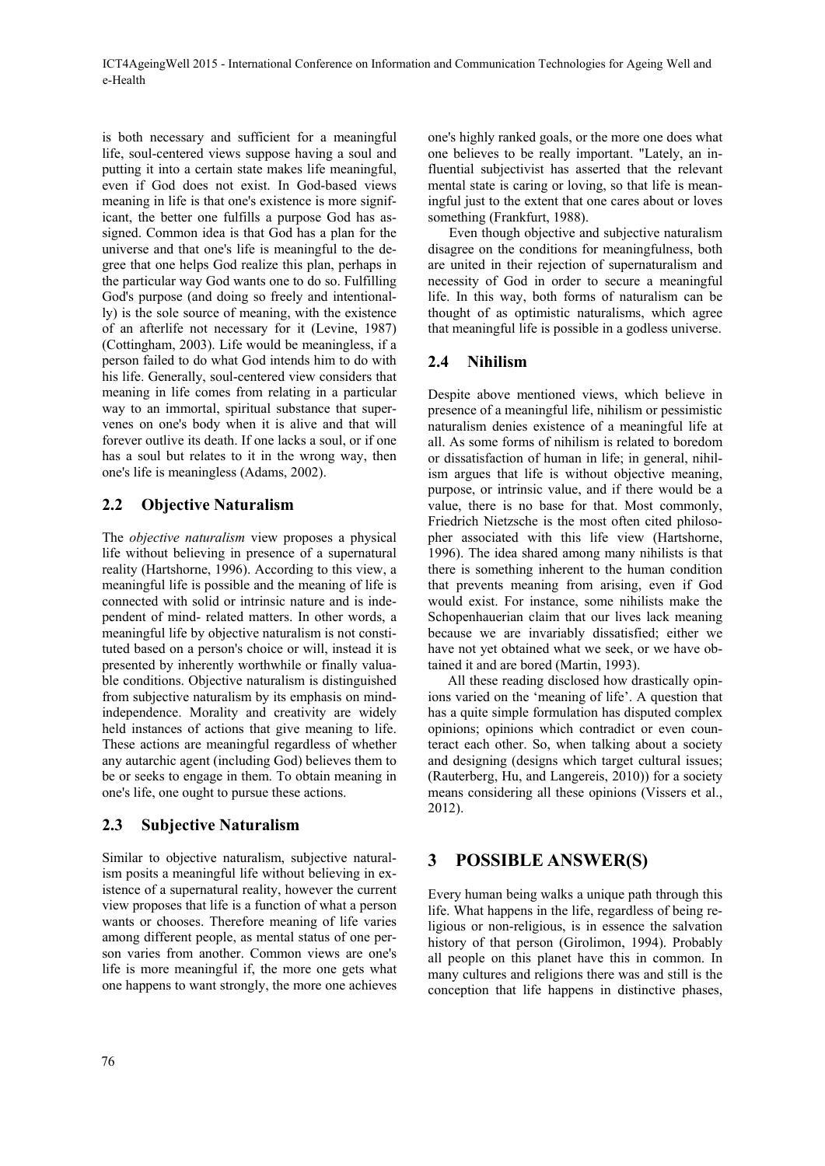ICT4AgeingWell 2015 - International Conference on Information and Communication Technologies for Ageing Well and e-Health

is both necessary and sufficient for a meaningful life, soul-centered views suppose having a soul and putting it into a certain state makes life meaningful, even if God does not exist. In God-based views meaning in life is that one's existence is more significant, the better one fulfills a purpose God has assigned. Common idea is that God has a plan for the universe and that one's life is meaningful to the degree that one helps God realize this plan, perhaps in the particular way God wants one to do so. Fulfilling God's purpose (and doing so freely and intentionally) is the sole source of meaning, with the existence of an afterlife not necessary for it (Levine, 1987) (Cottingham, 2003). Life would be meaningless, if a person failed to do what God intends him to do with his life. Generally, soul-centered view considers that meaning in life comes from relating in a particular way to an immortal, spiritual substance that supervenes on one's body when it is alive and that will forever outlive its death. If one lacks a soul, or if one has a soul but relates to it in the wrong way, then one's life is meaningless (Adams, 2002).

## **2.2 Objective Naturalism**

The *objective naturalism* view proposes a physical life without believing in presence of a supernatural reality (Hartshorne, 1996). According to this view, a meaningful life is possible and the meaning of life is connected with solid or intrinsic nature and is independent of mind- related matters. In other words, a meaningful life by objective naturalism is not constituted based on a person's choice or will, instead it is presented by inherently worthwhile or finally valuable conditions. Objective naturalism is distinguished from subjective naturalism by its emphasis on mindindependence. Morality and creativity are widely held instances of actions that give meaning to life. These actions are meaningful regardless of whether any autarchic agent (including God) believes them to be or seeks to engage in them. To obtain meaning in one's life, one ought to pursue these actions.

### **2.3 Subjective Naturalism**

Similar to objective naturalism, subjective naturalism posits a meaningful life without believing in existence of a supernatural reality, however the current view proposes that life is a function of what a person wants or chooses. Therefore meaning of life varies among different people, as mental status of one person varies from another. Common views are one's life is more meaningful if, the more one gets what one happens to want strongly, the more one achieves one's highly ranked goals, or the more one does what one believes to be really important. "Lately, an influential subjectivist has asserted that the relevant mental state is caring or loving, so that life is meaningful just to the extent that one cares about or loves something (Frankfurt, 1988).

Even though objective and subjective naturalism disagree on the conditions for meaningfulness, both are united in their rejection of supernaturalism and necessity of God in order to secure a meaningful life. In this way, both forms of naturalism can be thought of as optimistic naturalisms, which agree that meaningful life is possible in a godless universe.

### **2.4 Nihilism**

Despite above mentioned views, which believe in presence of a meaningful life, nihilism or pessimistic naturalism denies existence of a meaningful life at all. As some forms of nihilism is related to boredom or dissatisfaction of human in life; in general, nihilism argues that life is without objective meaning, purpose, or intrinsic value, and if there would be a value, there is no base for that. Most commonly, Friedrich Nietzsche is the most often cited philosopher associated with this life view (Hartshorne, 1996). The idea shared among many nihilists is that there is something inherent to the human condition that prevents meaning from arising, even if God would exist. For instance, some nihilists make the Schopenhauerian claim that our lives lack meaning because we are invariably dissatisfied; either we have not yet obtained what we seek, or we have obtained it and are bored (Martin, 1993).

All these reading disclosed how drastically opinions varied on the 'meaning of life'. A question that has a quite simple formulation has disputed complex opinions; opinions which contradict or even counteract each other. So, when talking about a society and designing (designs which target cultural issues; (Rauterberg, Hu, and Langereis, 2010)) for a society means considering all these opinions (Vissers et al., 2012).

# **3 POSSIBLE ANSWER(S)**

Every human being walks a unique path through this life. What happens in the life, regardless of being religious or non-religious, is in essence the salvation history of that person (Girolimon, 1994). Probably all people on this planet have this in common. In many cultures and religions there was and still is the conception that life happens in distinctive phases,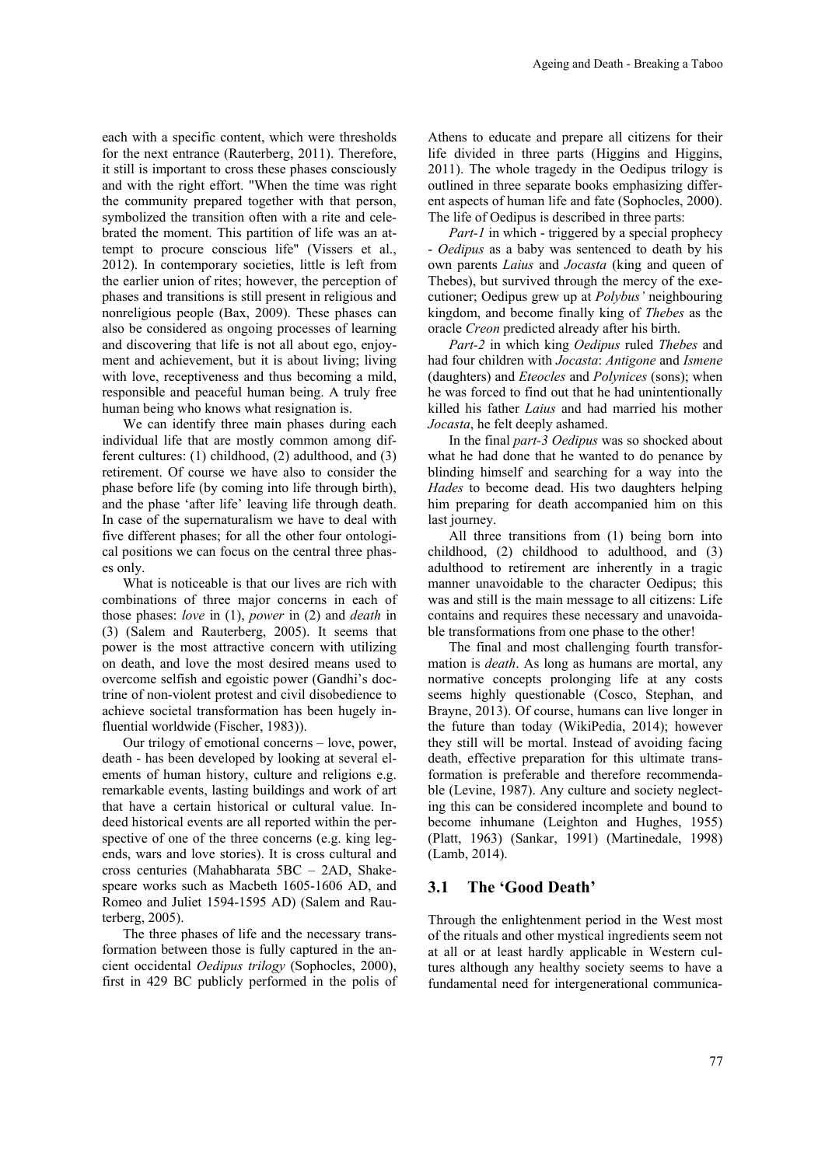each with a specific content, which were thresholds for the next entrance (Rauterberg, 2011). Therefore, it still is important to cross these phases consciously and with the right effort. "When the time was right the community prepared together with that person, symbolized the transition often with a rite and celebrated the moment. This partition of life was an attempt to procure conscious life" (Vissers et al., 2012). In contemporary societies, little is left from the earlier union of rites; however, the perception of phases and transitions is still present in religious and nonreligious people (Bax, 2009). These phases can also be considered as ongoing processes of learning and discovering that life is not all about ego, enjoyment and achievement, but it is about living; living with love, receptiveness and thus becoming a mild, responsible and peaceful human being. A truly free human being who knows what resignation is.

We can identify three main phases during each individual life that are mostly common among different cultures: (1) childhood, (2) adulthood, and (3) retirement. Of course we have also to consider the phase before life (by coming into life through birth), and the phase 'after life' leaving life through death. In case of the supernaturalism we have to deal with five different phases; for all the other four ontological positions we can focus on the central three phases only.

What is noticeable is that our lives are rich with combinations of three major concerns in each of those phases: *love* in (1), *power* in (2) and *death* in (3) (Salem and Rauterberg, 2005). It seems that power is the most attractive concern with utilizing on death, and love the most desired means used to overcome selfish and egoistic power (Gandhi's doctrine of non-violent protest and civil disobedience to achieve societal transformation has been hugely influential worldwide (Fischer, 1983)).

Our trilogy of emotional concerns – love, power, death - has been developed by looking at several elements of human history, culture and religions e.g. remarkable events, lasting buildings and work of art that have a certain historical or cultural value. Indeed historical events are all reported within the perspective of one of the three concerns (e.g. king legends, wars and love stories). It is cross cultural and cross centuries (Mahabharata 5BC – 2AD, Shakespeare works such as Macbeth 1605-1606 AD, and Romeo and Juliet 1594-1595 AD) (Salem and Rauterberg, 2005).

The three phases of life and the necessary transformation between those is fully captured in the ancient occidental *Oedipus trilogy* (Sophocles, 2000), first in 429 BC publicly performed in the polis of

Athens to educate and prepare all citizens for their life divided in three parts (Higgins and Higgins, 2011). The whole tragedy in the Oedipus trilogy is outlined in three separate books emphasizing different aspects of human life and fate (Sophocles, 2000). The life of Oedipus is described in three parts:

*Part-1* in which - triggered by a special prophecy - *Oedipus* as a baby was sentenced to death by his own parents *Laius* and *Jocasta* (king and queen of Thebes), but survived through the mercy of the executioner; Oedipus grew up at *Polybus'* neighbouring kingdom, and become finally king of *Thebes* as the oracle *Creon* predicted already after his birth.

*Part-2* in which king *Oedipus* ruled *Thebes* and had four children with *Jocasta*: *Antigone* and *Ismene* (daughters) and *Eteocles* and *Polynices* (sons); when he was forced to find out that he had unintentionally killed his father *Laius* and had married his mother *Jocasta*, he felt deeply ashamed.

In the final *part-3 Oedipus* was so shocked about what he had done that he wanted to do penance by blinding himself and searching for a way into the *Hades* to become dead. His two daughters helping him preparing for death accompanied him on this last journey.

All three transitions from (1) being born into childhood, (2) childhood to adulthood, and (3) adulthood to retirement are inherently in a tragic manner unavoidable to the character Oedipus; this was and still is the main message to all citizens: Life contains and requires these necessary and unavoidable transformations from one phase to the other!

The final and most challenging fourth transformation is *death*. As long as humans are mortal, any normative concepts prolonging life at any costs seems highly questionable (Cosco, Stephan, and Brayne, 2013). Of course, humans can live longer in the future than today (WikiPedia, 2014); however they still will be mortal. Instead of avoiding facing death, effective preparation for this ultimate transformation is preferable and therefore recommendable (Levine, 1987). Any culture and society neglecting this can be considered incomplete and bound to become inhumane (Leighton and Hughes, 1955) (Platt, 1963) (Sankar, 1991) (Martinedale, 1998) (Lamb, 2014).

#### **3.1 The 'Good Death'**

Through the enlightenment period in the West most of the rituals and other mystical ingredients seem not at all or at least hardly applicable in Western cultures although any healthy society seems to have a fundamental need for intergenerational communica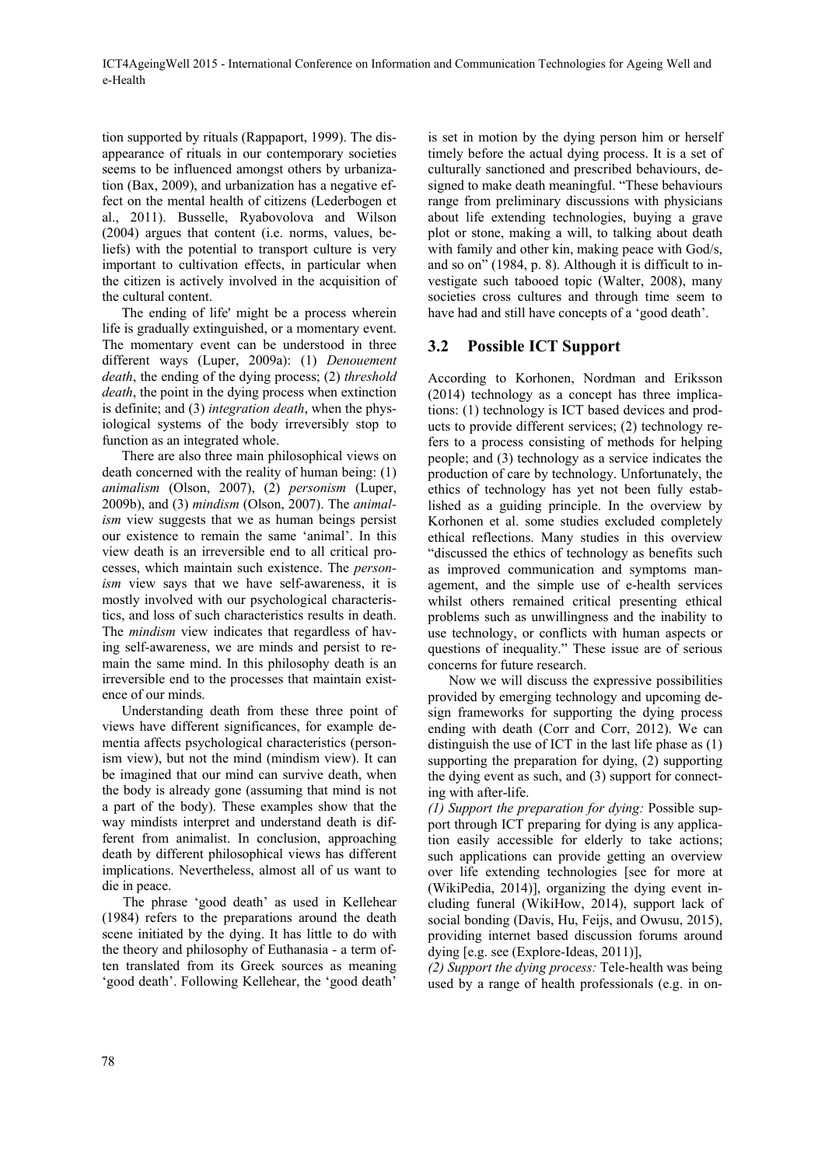tion supported by rituals (Rappaport, 1999). The disappearance of rituals in our contemporary societies seems to be influenced amongst others by urbanization (Bax, 2009), and urbanization has a negative effect on the mental health of citizens (Lederbogen et al., 2011). Busselle, Ryabovolova and Wilson (2004) argues that content (i.e. norms, values, beliefs) with the potential to transport culture is very important to cultivation effects, in particular when the citizen is actively involved in the acquisition of the cultural content.

The ending of life' might be a process wherein life is gradually extinguished, or a momentary event. The momentary event can be understood in three different ways (Luper, 2009a): (1) *Denouement death*, the ending of the dying process; (2) *threshold death*, the point in the dying process when extinction is definite; and (3) *integration death*, when the physiological systems of the body irreversibly stop to function as an integrated whole.

There are also three main philosophical views on death concerned with the reality of human being: (1) *animalism* (Olson, 2007), (2) *personism* (Luper, 2009b), and (3) *mindism* (Olson, 2007). The *animalism* view suggests that we as human beings persist our existence to remain the same 'animal'. In this view death is an irreversible end to all critical processes, which maintain such existence. The *personism* view says that we have self-awareness, it is mostly involved with our psychological characteristics, and loss of such characteristics results in death. The *mindism* view indicates that regardless of having self-awareness, we are minds and persist to remain the same mind. In this philosophy death is an irreversible end to the processes that maintain existence of our minds.

Understanding death from these three point of views have different significances, for example dementia affects psychological characteristics (personism view), but not the mind (mindism view). It can be imagined that our mind can survive death, when the body is already gone (assuming that mind is not a part of the body). These examples show that the way mindists interpret and understand death is different from animalist. In conclusion, approaching death by different philosophical views has different implications. Nevertheless, almost all of us want to die in peace.

The phrase 'good death' as used in Kellehear (1984) refers to the preparations around the death scene initiated by the dying. It has little to do with the theory and philosophy of Euthanasia - a term often translated from its Greek sources as meaning 'good death'. Following Kellehear, the 'good death'

is set in motion by the dying person him or herself timely before the actual dying process. It is a set of culturally sanctioned and prescribed behaviours, designed to make death meaningful. "These behaviours range from preliminary discussions with physicians about life extending technologies, buying a grave plot or stone, making a will, to talking about death with family and other kin, making peace with God/s, and so on" (1984, p. 8). Although it is difficult to investigate such tabooed topic (Walter, 2008), many societies cross cultures and through time seem to have had and still have concepts of a 'good death'.

## **3.2 Possible ICT Support**

According to Korhonen, Nordman and Eriksson (2014) technology as a concept has three implications: (1) technology is ICT based devices and products to provide different services; (2) technology refers to a process consisting of methods for helping people; and (3) technology as a service indicates the production of care by technology. Unfortunately, the ethics of technology has yet not been fully established as a guiding principle. In the overview by Korhonen et al. some studies excluded completely ethical reflections. Many studies in this overview "discussed the ethics of technology as benefits such as improved communication and symptoms management, and the simple use of e-health services whilst others remained critical presenting ethical problems such as unwillingness and the inability to use technology, or conflicts with human aspects or questions of inequality." These issue are of serious concerns for future research.

Now we will discuss the expressive possibilities provided by emerging technology and upcoming design frameworks for supporting the dying process ending with death (Corr and Corr, 2012). We can distinguish the use of ICT in the last life phase as (1) supporting the preparation for dying, (2) supporting the dying event as such, and (3) support for connecting with after-life.

*(1) Support the preparation for dying:* Possible support through ICT preparing for dying is any application easily accessible for elderly to take actions; such applications can provide getting an overview over life extending technologies [see for more at (WikiPedia, 2014)], organizing the dying event including funeral (WikiHow, 2014), support lack of social bonding (Davis, Hu, Feijs, and Owusu, 2015), providing internet based discussion forums around dying [e.g. see (Explore-Ideas, 2011)],

*(2) Support the dying process:* Tele-health was being used by a range of health professionals (e.g. in on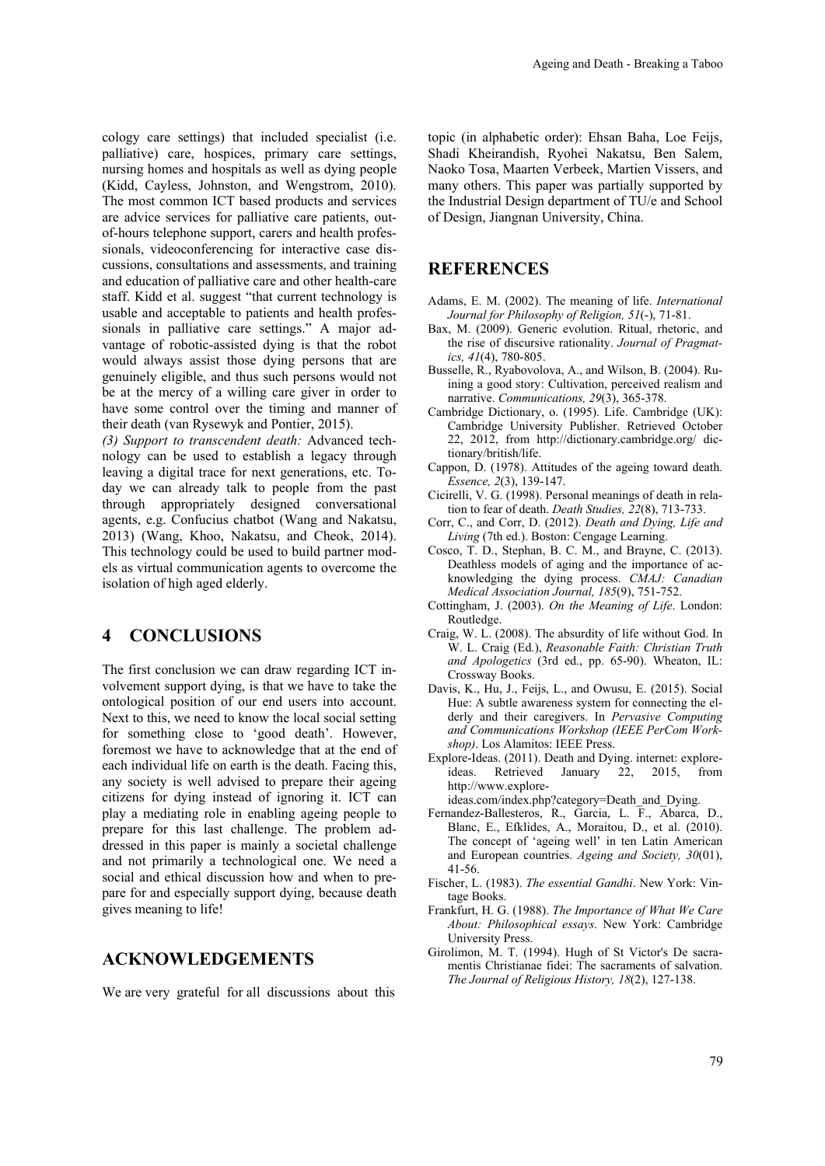cology care settings) that included specialist (i.e. palliative) care, hospices, primary care settings, nursing homes and hospitals as well as dying people (Kidd, Cayless, Johnston, and Wengstrom, 2010). The most common ICT based products and services are advice services for palliative care patients, outof-hours telephone support, carers and health professionals, videoconferencing for interactive case discussions, consultations and assessments, and training and education of palliative care and other health-care staff. Kidd et al. suggest "that current technology is usable and acceptable to patients and health professionals in palliative care settings." A major advantage of robotic-assisted dying is that the robot would always assist those dying persons that are genuinely eligible, and thus such persons would not be at the mercy of a willing care giver in order to have some control over the timing and manner of their death (van Rysewyk and Pontier, 2015).

*(3) Support to transcendent death:* Advanced technology can be used to establish a legacy through leaving a digital trace for next generations, etc. Today we can already talk to people from the past through appropriately designed conversational agents, e.g. Confucius chatbot (Wang and Nakatsu, 2013) (Wang, Khoo, Nakatsu, and Cheok, 2014). This technology could be used to build partner models as virtual communication agents to overcome the isolation of high aged elderly.

## **4 CONCLUSIONS**

The first conclusion we can draw regarding ICT involvement support dying, is that we have to take the ontological position of our end users into account. Next to this, we need to know the local social setting for something close to 'good death'. However, foremost we have to acknowledge that at the end of each individual life on earth is the death. Facing this, any society is well advised to prepare their ageing citizens for dying instead of ignoring it. ICT can play a mediating role in enabling ageing people to prepare for this last challenge. The problem addressed in this paper is mainly a societal challenge and not primarily a technological one. We need a social and ethical discussion how and when to prepare for and especially support dying, because death gives meaning to life!

#### **ACKNOWLEDGEMENTS**

We are very grateful for all discussions about this

topic (in alphabetic order): Ehsan Baha, Loe Feijs, Shadi Kheirandish, Ryohei Nakatsu, Ben Salem, Naoko Tosa, Maarten Verbeek, Martien Vissers, and many others. This paper was partially supported by the Industrial Design department of TU/e and School of Design, Jiangnan University, China.

#### **REFERENCES**

- Adams, E. M. (2002). The meaning of life. *International Journal for Philosophy of Religion, 51*(-), 71-81.
- Bax, M. (2009). Generic evolution. Ritual, rhetoric, and the rise of discursive rationality. *Journal of Pragmatics, 41*(4), 780-805.
- Busselle, R., Ryabovolova, A., and Wilson, B. (2004). Ruining a good story: Cultivation, perceived realism and narrative. *Communications, 29*(3), 365-378.
- Cambridge Dictionary, o. (1995). Life. Cambridge (UK): Cambridge University Publisher. Retrieved October 22, 2012, from http://dictionary.cambridge.org/ dictionary/british/life.
- Cappon, D. (1978). Attitudes of the ageing toward death. *Essence, 2*(3), 139-147.
- Cicirelli, V. G. (1998). Personal meanings of death in relation to fear of death. *Death Studies, 22*(8), 713-733.
- Corr, C., and Corr, D. (2012). *Death and Dying, Life and Living* (7th ed.). Boston: Cengage Learning.
- Cosco, T. D., Stephan, B. C. M., and Brayne, C. (2013). Deathless models of aging and the importance of acknowledging the dying process. *CMAJ: Canadian Medical Association Journal, 185*(9), 751-752.
- Cottingham, J. (2003). *On the Meaning of Life*. London: Routledge.
- Craig, W. L. (2008). The absurdity of life without God. In W. L. Craig (Ed.), *Reasonable Faith: Christian Truth and Apologetics* (3rd ed., pp. 65-90). Wheaton, IL: Crossway Books.
- Davis, K., Hu, J., Feijs, L., and Owusu, E. (2015). Social Hue: A subtle awareness system for connecting the elderly and their caregivers. In *Pervasive Computing and Communications Workshop (IEEE PerCom Workshop)*. Los Alamitos: IEEE Press.
- Explore-Ideas. (2011). Death and Dying. internet: exploreideas. Retrieved January 22, 2015, from http://www.explore-
- ideas.com/index.php?category=Death\_and\_Dying.
- Fernandez-Ballesteros, R., Garcia, L. F., Abarca, D., Blanc, E., Efklides, A., Moraitou, D., et al. (2010). The concept of 'ageing well' in ten Latin American and European countries. *Ageing and Society, 30*(01), 41-56.
- Fischer, L. (1983). *The essential Gandhi*. New York: Vintage Books.
- Frankfurt, H. G. (1988). *The Importance of What We Care About: Philosophical essays*. New York: Cambridge University Press.
- Girolimon, M. T. (1994). Hugh of St Victor's De sacramentis Christianae fidei: The sacraments of salvation. *The Journal of Religious History, 18*(2), 127-138.